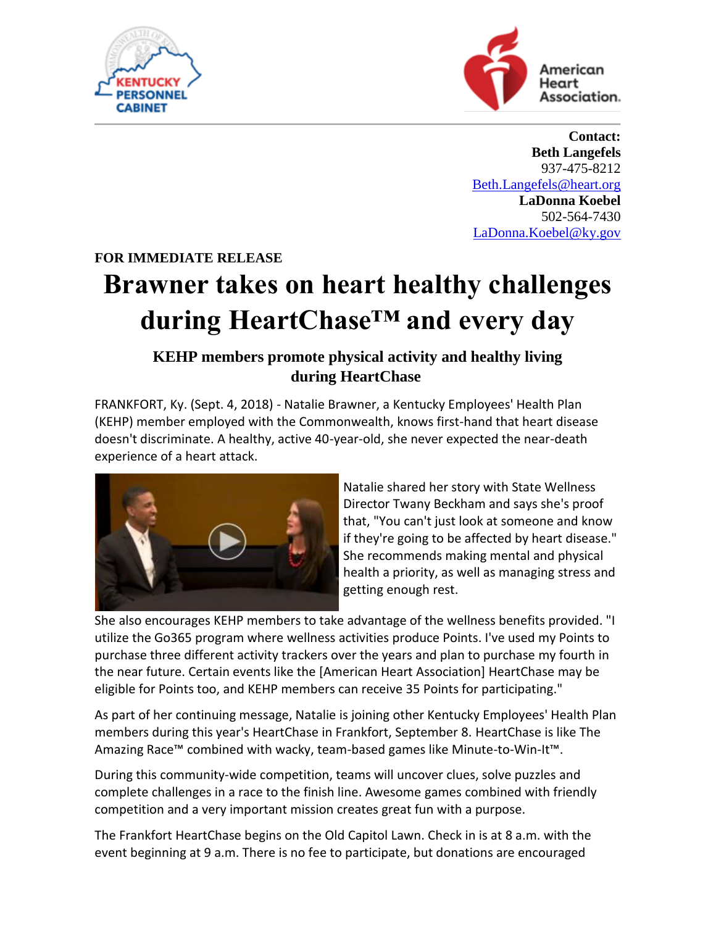



**Contact: Beth Langefels** 937-475-8212 [Beth.Langefels@heart.org](mailto:Beth.Langefels@heart.org) **LaDonna Koebel** 502-564-7430 [LaDonna.Koebel@ky.gov](mailto:LaDonna.Koebel@ky.gov)

**FOR IMMEDIATE RELEASE**

## **Brawner takes on heart healthy challenges during HeartChase™ and every day**

## **KEHP members promote physical activity and healthy living during HeartChase**

FRANKFORT, Ky. (Sept. 4, 2018) - Natalie Brawner, a Kentucky Employees' Health Plan (KEHP) member employed with the Commonwealth, knows first-hand that heart disease doesn't discriminate. A healthy, active 40-year-old, she never expected the near-death experience of a heart attack.



Natalie shared her story with State Wellness Director Twany Beckham and says she's proof that, "You can't just look at someone and know if they're going to be affected by heart disease." She recommends making mental and physical health a priority, as well as managing stress and getting enough rest.

She also encourages KEHP members to take advantage of the wellness benefits provided. "I utilize the Go365 program where wellness activities produce Points. I've used my Points to purchase three different activity trackers over the years and plan to purchase my fourth in the near future. Certain events like the [American Heart Association] HeartChase may be eligible for Points too, and KEHP members can receive 35 Points for participating."

As part of her continuing message, Natalie is joining other Kentucky Employees' Health Plan members during this year's HeartChase in Frankfort, September 8. HeartChase is like The Amazing Race™ combined with wacky, team-based games like Minute-to-Win-It™.

During this community-wide competition, teams will uncover clues, solve puzzles and complete challenges in a race to the finish line. Awesome games combined with friendly competition and a very important mission creates great fun with a purpose.

The Frankfort HeartChase begins on the Old Capitol Lawn. Check in is at 8 a.m. with the event beginning at 9 a.m. There is no fee to participate, but donations are encouraged